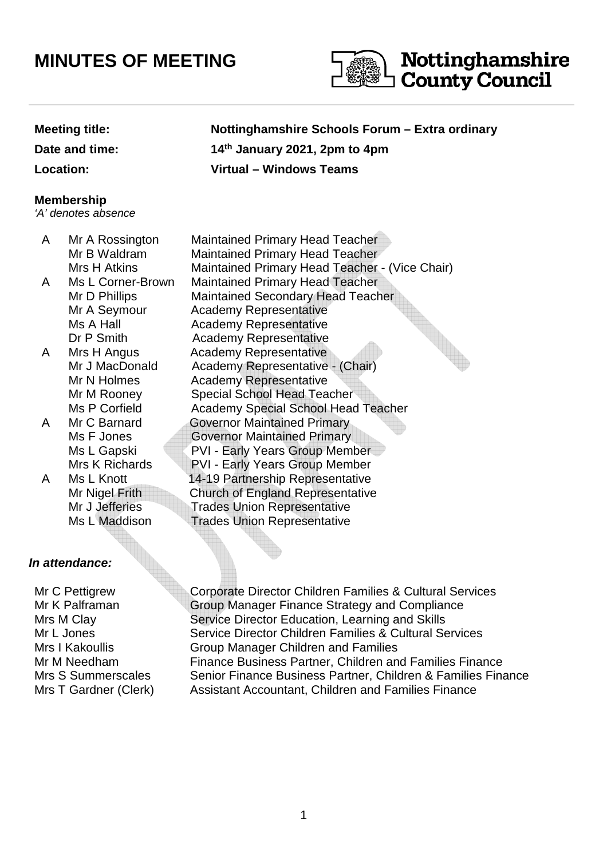# **MINUTES OF MEETING**



**Date and time:** 

## **Meeting title: Nottinghamshire Schools Forum – Extra ordinary th January 2021, 2pm to 4pm Location: Virtual – Windows Teams**

### **Membership**

'A' denotes absence

- 
- 
- 
- 
- 

## **In attendance:**

Mr C Pettigrew Mr K Palframan Mrs M Clay Mr L Jones Mrs I Kakoullis

A Mr A Rossington Maintained Primary Head Teacher Mr B Waldram Maintained Primary Head Teacher Mrs H Atkins Maintained Primary Head Teacher - (Vice Chair) A Ms L Corner-Brown Maintained Primary Head Teacher Mr D Phillips Maintained Secondary Head Teacher Mr A Seymour Academy Representative Ms A Hall **Academy Representative** Dr P Smith Academy Representative A Mrs H Angus Academy Representative Mr J MacDonald Academy Representative - (Chair) Mr N Holmes Academy Representative Mr M Rooney Special School Head Teacher Ms P Corfield Academy Special School Head Teacher A Mr C Barnard Governor Maintained Primary Ms F Jones **Governor Maintained Primary** Ms L Gapski PVI - Early Years Group Member Mrs K Richards PVI - Early Years Group Member A Ms L Knott 14-19 Partnership Representative Mr Nigel Frith Church of England Representative Mr J Jefferies Trades Union Representative<br>Ms I Maddison Trades Union Representative **Trades Union Representative** 

Corporate Director Children Families & Cultural Services Group Manager Finance Strategy and Compliance Service Director Education, Learning and Skills Service Director Children Families & Cultural Services Group Manager Children and Families Mr M Needham Finance Business Partner, Children and Families Finance Mrs S Summerscales Senior Finance Business Partner, Children & Families Finance Mrs T Gardner (Clerk) Assistant Accountant, Children and Families Finance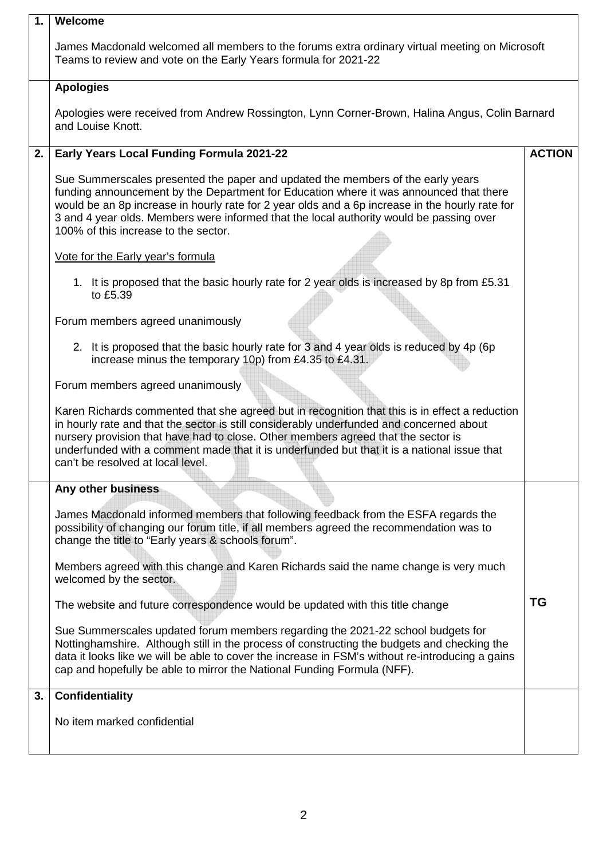| 1. | Welcome                                                                                                                                                                                                                                                                                                                                                                                                             |               |  |  |  |  |
|----|---------------------------------------------------------------------------------------------------------------------------------------------------------------------------------------------------------------------------------------------------------------------------------------------------------------------------------------------------------------------------------------------------------------------|---------------|--|--|--|--|
|    | James Macdonald welcomed all members to the forums extra ordinary virtual meeting on Microsoft<br>Teams to review and vote on the Early Years formula for 2021-22                                                                                                                                                                                                                                                   |               |  |  |  |  |
|    | <b>Apologies</b>                                                                                                                                                                                                                                                                                                                                                                                                    |               |  |  |  |  |
|    | Apologies were received from Andrew Rossington, Lynn Corner-Brown, Halina Angus, Colin Barnard<br>and Louise Knott.                                                                                                                                                                                                                                                                                                 |               |  |  |  |  |
| 2. | Early Years Local Funding Formula 2021-22                                                                                                                                                                                                                                                                                                                                                                           | <b>ACTION</b> |  |  |  |  |
|    | Sue Summerscales presented the paper and updated the members of the early years<br>funding announcement by the Department for Education where it was announced that there<br>would be an 8p increase in hourly rate for 2 year olds and a 6p increase in the hourly rate for<br>3 and 4 year olds. Members were informed that the local authority would be passing over<br>100% of this increase to the sector.     |               |  |  |  |  |
|    | Vote for the Early year's formula                                                                                                                                                                                                                                                                                                                                                                                   |               |  |  |  |  |
|    | 1. It is proposed that the basic hourly rate for 2 year olds is increased by 8p from £5.31<br>to £5.39                                                                                                                                                                                                                                                                                                              |               |  |  |  |  |
|    | Forum members agreed unanimously                                                                                                                                                                                                                                                                                                                                                                                    |               |  |  |  |  |
|    | 2. It is proposed that the basic hourly rate for 3 and 4 year olds is reduced by 4p (6p)<br>increase minus the temporary 10p) from £4.35 to £4.31.                                                                                                                                                                                                                                                                  |               |  |  |  |  |
|    | Forum members agreed unanimously                                                                                                                                                                                                                                                                                                                                                                                    |               |  |  |  |  |
|    | Karen Richards commented that she agreed but in recognition that this is in effect a reduction<br>in hourly rate and that the sector is still considerably underfunded and concerned about<br>nursery provision that have had to close. Other members agreed that the sector is<br>underfunded with a comment made that it is underfunded but that it is a national issue that<br>can't be resolved at local level. |               |  |  |  |  |
|    | Any other business                                                                                                                                                                                                                                                                                                                                                                                                  |               |  |  |  |  |
|    | James Macdonald informed members that following feedback from the ESFA regards the<br>possibility of changing our forum title, if all members agreed the recommendation was to<br>change the title to "Early years & schools forum".                                                                                                                                                                                |               |  |  |  |  |
|    | Members agreed with this change and Karen Richards said the name change is very much<br>welcomed by the sector.                                                                                                                                                                                                                                                                                                     |               |  |  |  |  |
|    | The website and future correspondence would be updated with this title change                                                                                                                                                                                                                                                                                                                                       | ΤG            |  |  |  |  |
|    | Sue Summerscales updated forum members regarding the 2021-22 school budgets for<br>Nottinghamshire. Although still in the process of constructing the budgets and checking the<br>data it looks like we will be able to cover the increase in FSM's without re-introducing a gains<br>cap and hopefully be able to mirror the National Funding Formula (NFF).                                                       |               |  |  |  |  |
| 3. | <b>Confidentiality</b>                                                                                                                                                                                                                                                                                                                                                                                              |               |  |  |  |  |
|    | No item marked confidential                                                                                                                                                                                                                                                                                                                                                                                         |               |  |  |  |  |